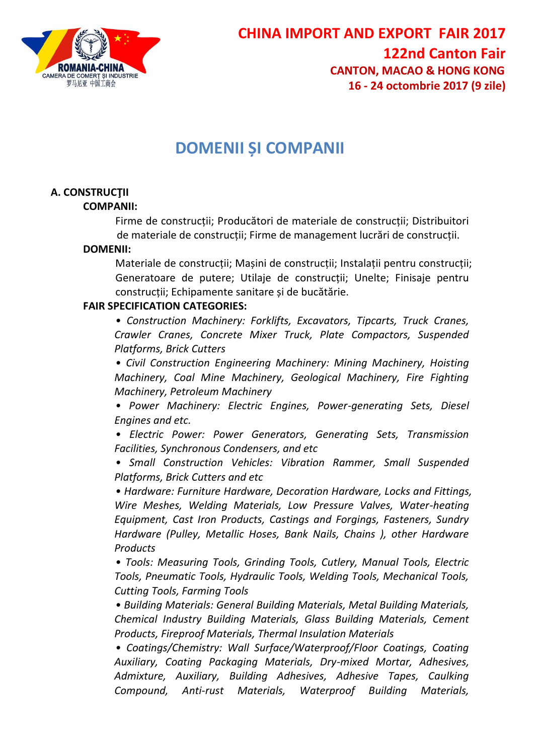

# **DOMENII ȘI COMPANII**

# **A. CONSTRUCŢII**

#### **COMPANII:**

Firme de construcții; Producători de materiale de construcții; Distribuitori de materiale de construcții; Firme de management lucrări de construcții.

#### **DOMENII:**

Materiale de construcții; Mașini de construcții; Instalații pentru construcții; Generatoare de putere; Utilaje de construcții; Unelte; Finisaje pentru construcții; Echipamente sanitare și de bucătărie.

#### **FAIR SPECIFICATION CATEGORIES:**

*• Construction Machinery: Forklifts, Excavators, Tipcarts, Truck Cranes, Crawler Cranes, Concrete Mixer Truck, Plate Compactors, Suspended Platforms, Brick Cutters*

*• Civil Construction Engineering Machinery: Mining Machinery, Hoisting Machinery, Coal Mine Machinery, Geological Machinery, Fire Fighting Machinery, Petroleum Machinery*

*• Power Machinery: Electric Engines, Power-generating Sets, Diesel Engines and etc.*

*• Electric Power: Power Generators, Generating Sets, Transmission Facilities, Synchronous Condensers, and etc*

*• Small Construction Vehicles: Vibration Rammer, Small Suspended Platforms, Brick Cutters and etc*

*• Hardware: Furniture Hardware, Decoration Hardware, Locks and Fittings, Wire Meshes, Welding Materials, Low Pressure Valves, Water-heating Equipment, Cast Iron Products, Castings and Forgings, Fasteners, Sundry Hardware (Pulley, Metallic Hoses, Bank Nails, Chains ), other Hardware Products*

*• Tools: Measuring Tools, Grinding Tools, Cutlery, Manual Tools, Electric Tools, Pneumatic Tools, Hydraulic Tools, Welding Tools, Mechanical Tools, Cutting Tools, Farming Tools*

*• Building Materials: General Building Materials, Metal Building Materials, Chemical Industry Building Materials, Glass Building Materials, Cement Products, Fireproof Materials, Thermal Insulation Materials*

*• Coatings/Chemistry: Wall Surface/Waterproof/Floor Coatings, Coating Auxiliary, Coating Packaging Materials, Dry-mixed Mortar, Adhesives, Admixture, Auxiliary, Building Adhesives, Adhesive Tapes, Caulking Compound, Anti-rust Materials, Waterproof Building Materials,*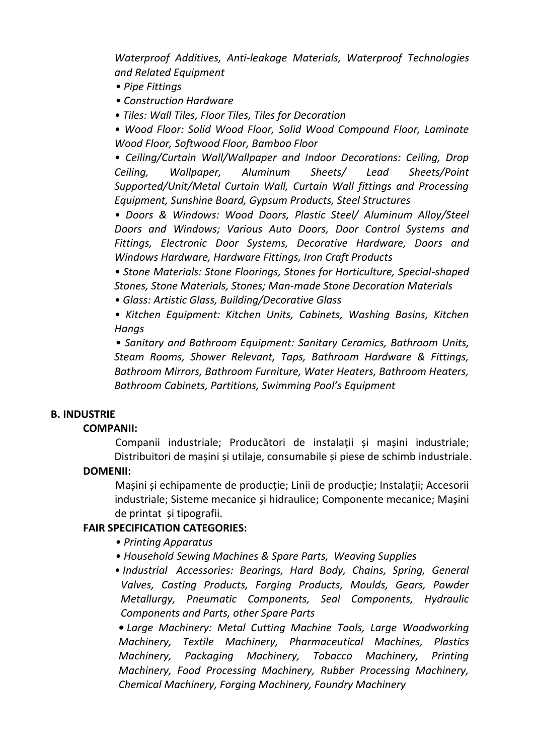*Waterproof Additives, Anti-leakage Materials, Waterproof Technologies and Related Equipment*

- *Pipe Fittings*
- *Construction Hardware*
- *Tiles: Wall Tiles, Floor Tiles, Tiles for Decoration*

*• Wood Floor: Solid Wood Floor, Solid Wood Compound Floor, Laminate Wood Floor, Softwood Floor, Bamboo Floor*

*• Ceiling/Curtain Wall/Wallpaper and Indoor Decorations: Ceiling, Drop Ceiling, Wallpaper, Aluminum Sheets/ Lead Sheets/Point Supported/Unit/Metal Curtain Wall, Curtain Wall fittings and Processing Equipment, Sunshine Board, Gypsum Products, Steel Structures*

*• Doors & Windows: Wood Doors, Plastic Steel/ Aluminum Alloy/Steel Doors and Windows; Various Auto Doors, Door Control Systems and Fittings, Electronic Door Systems, Decorative Hardware, Doors and Windows Hardware, Hardware Fittings, Iron Craft Products*

*• Stone Materials: Stone Floorings, Stones for Horticulture, Special-shaped Stones, Stone Materials, Stones; Man-made Stone Decoration Materials*

*• Glass: Artistic Glass, Building/Decorative Glass*

*• Kitchen Equipment: Kitchen Units, Cabinets, Washing Basins, Kitchen Hangs*

*• Sanitary and Bathroom Equipment: Sanitary Ceramics, Bathroom Units, Steam Rooms, Shower Relevant, Taps, Bathroom Hardware & Fittings, Bathroom Mirrors, Bathroom Furniture, Water Heaters, Bathroom Heaters, Bathroom Cabinets, Partitions, Swimming Pool's Equipment*

# **B. INDUSTRIE**

## **COMPANII:**

Companii industriale; Producători de instalații și mașini industriale; Distribuitori de mașini și utilaje, consumabile și piese de schimb industriale.

# **DOMENII:**

Mașini și echipamente de producție; Linii de producție; Instalații; Accesorii industriale; Sisteme mecanice și hidraulice; Componente mecanice; Mașini de printat și tipografii.

# **FAIR SPECIFICATION CATEGORIES:**

- *Printing Apparatus*
- *Household Sewing Machines & Spare Parts, Weaving Supplies*
- *• Industrial Accessories: Bearings, Hard Body, Chains, Spring, General Valves, Casting Products, Forging Products, Moulds, Gears, Powder Metallurgy, Pneumatic Components, Seal Components, Hydraulic Components and Parts, other Spare Parts*

*• Large Machinery: Metal Cutting Machine Tools, Large Woodworking Machinery, Textile Machinery, Pharmaceutical Machines, Plastics Machinery, Packaging Machinery, Tobacco Machinery, Printing Machinery, Food Processing Machinery, Rubber Processing Machinery, Chemical Machinery, Forging Machinery, Foundry Machinery*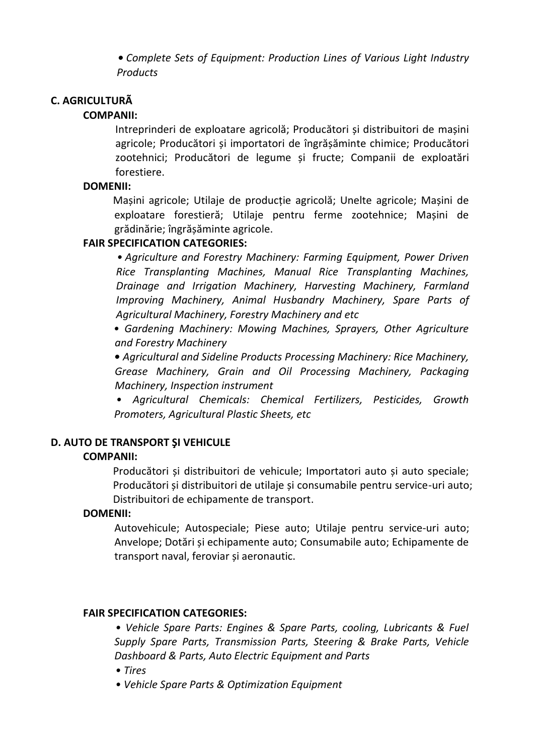*• Complete Sets of Equipment: Production Lines of Various Light Industry Products*

# **C. AGRICULTURÃ**

# **COMPANII:**

Intreprinderi de exploatare agricolă; Producători și distribuitori de mașini agricole; Producători și importatori de îngrășăminte chimice; Producători zootehnici; Producători de legume și fructe; Companii de exploatări forestiere.

## **DOMENII:**

Mașini agricole; Utilaje de producție agricolă; Unelte agricole; Mașini de exploatare forestieră; Utilaje pentru ferme zootehnice; Mașini de grădinărie; îngrășăminte agricole.

# **FAIR SPECIFICATION CATEGORIES:**

*• Agriculture and Forestry Machinery: Farming Equipment, Power Driven Rice Transplanting Machines, Manual Rice Transplanting Machines, Drainage and Irrigation Machinery, Harvesting Machinery, Farmland Improving Machinery, Animal Husbandry Machinery, Spare Parts of Agricultural Machinery, Forestry Machinery and etc*

*• Gardening Machinery: Mowing Machines, Sprayers, Other Agriculture and Forestry Machinery*

*• Agricultural and Sideline Products Processing Machinery: Rice Machinery, Grease Machinery, Grain and Oil Processing Machinery, Packaging Machinery, Inspection instrument*

*• Agricultural Chemicals: Chemical Fertilizers, Pesticides, Growth Promoters, Agricultural Plastic Sheets, etc*

# **D. AUTO DE TRANSPORT ŞI VEHICULE**

## **COMPANII:**

Producători și distribuitori de vehicule; Importatori auto și auto speciale; Producători și distribuitori de utilaje și consumabile pentru service-uri auto; Distribuitori de echipamente de transport.

## **DOMENII:**

Autovehicule; Autospeciale; Piese auto; Utilaje pentru service-uri auto; Anvelope; Dotări și echipamente auto; Consumabile auto; Echipamente de transport naval, feroviar și aeronautic.

## **FAIR SPECIFICATION CATEGORIES:**

*• Vehicle Spare Parts: Engines & Spare Parts, cooling, Lubricants & Fuel Supply Spare Parts, Transmission Parts, Steering & Brake Parts, Vehicle Dashboard & Parts, Auto Electric Equipment and Parts*

- *Tires*
- *Vehicle Spare Parts & Optimization Equipment*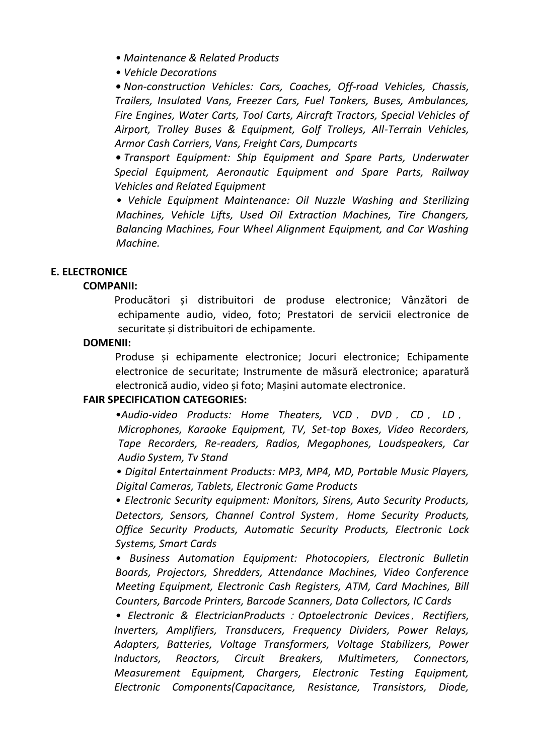- *Maintenance & Related Products*
- *Vehicle Decorations*

*• Non-construction Vehicles: Cars, Coaches, Off-road Vehicles, Chassis, Trailers, Insulated Vans, Freezer Cars, Fuel Tankers, Buses, Ambulances, Fire Engines, Water Carts, Tool Carts, Aircraft Tractors, Special Vehicles of Airport, Trolley Buses & Equipment, Golf Trolleys, All-Terrain Vehicles, Armor Cash Carriers, Vans, Freight Cars, Dumpcarts*

*• Transport Equipment: Ship Equipment and Spare Parts, Underwater Special Equipment, Aeronautic Equipment and Spare Parts, Railway Vehicles and Related Equipment*

*• Vehicle Equipment Maintenance: Oil Nuzzle Washing and Sterilizing Machines, Vehicle Lifts, Used Oil Extraction Machines, Tire Changers, Balancing Machines, Four Wheel Alignment Equipment, and Car Washing Machine.*

#### **E. ELECTRONICE**

#### **COMPANII:**

Producători și distribuitori de produse electronice; Vânzători de echipamente audio, video, foto; Prestatori de servicii electronice de securitate și distribuitori de echipamente.

#### **DOMENII:**

Produse și echipamente electronice; Jocuri electronice; Echipamente electronice de securitate; Instrumente de măsură electronice; aparatură electronică audio, video și foto; Mașini automate electronice.

#### **FAIR SPECIFICATION CATEGORIES:**

*•Audio-video Products: Home Theaters, VCD* , *DVD* , *CD* , *LD* , *Microphones, Karaoke Equipment, TV, Set-top Boxes, Video Recorders, Tape Recorders, Re-readers, Radios, Megaphones, Loudspeakers, Car Audio System, Tv Stand*

*• Digital Entertainment Products: MP3, MP4, MD, Portable Music Players, Digital Cameras, Tablets, Electronic Game Products*

*• Electronic Security equipment: Monitors, Sirens, Auto Security Products, Detectors, Sensors, Channel Control System*,*Home Security Products, Office Security Products, Automatic Security Products, Electronic Lock Systems, Smart Cards*

*• Business Automation Equipment: Photocopiers, Electronic Bulletin Boards, Projectors, Shredders, Attendance Machines, Video Conference Meeting Equipment, Electronic Cash Registers, ATM, Card Machines, Bill Counters, Barcode Printers, Barcode Scanners, Data Collectors, IC Cards*

*• Electronic & ElectricianProducts*:*Optoelectronic Devices*,*Rectifiers, Inverters, Amplifiers, Transducers, Frequency Dividers, Power Relays, Adapters, Batteries, Voltage Transformers, Voltage Stabilizers, Power Inductors, Reactors, Circuit Breakers, Multimeters, Connectors, Measurement Equipment, Chargers, Electronic Testing Equipment, Electronic Components(Capacitance, Resistance, Transistors, Diode,*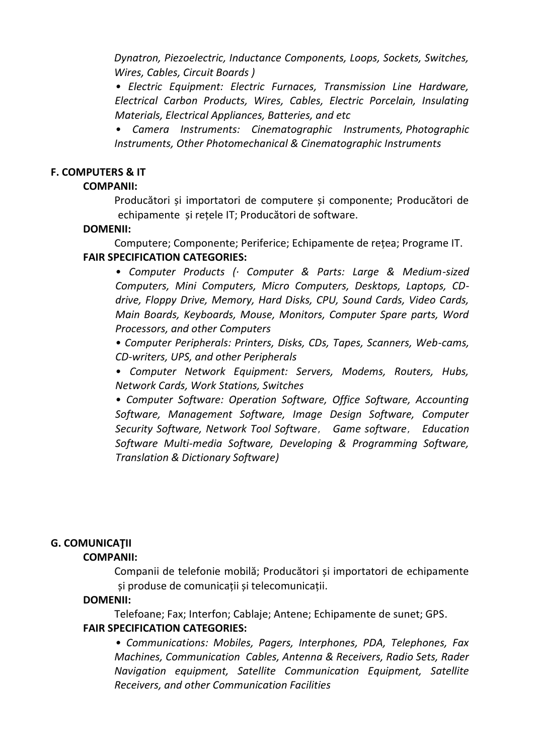*Dynatron, Piezoelectric, Inductance Components, Loops, Sockets, Switches, Wires, Cables, Circuit Boards )*

*• Electric Equipment: Electric Furnaces, Transmission Line Hardware, Electrical Carbon Products, Wires, Cables, Electric Porcelain, Insulating Materials, Electrical Appliances, Batteries, and etc*

*• Camera Instruments: Cinematographic Instruments, Photographic Instruments, Other Photomechanical & Cinematographic Instruments*

### **F. COMPUTERS & IT**

#### **COMPANII:**

Producători și importatori de computere și componente; Producători de echipamente și rețele IT; Producători de software.

#### **DOMENII:**

Computere; Componente; Periferice; Echipamente de rețea; Programe IT. **FAIR SPECIFICATION CATEGORIES:** 

*• Computer Products (· Computer & Parts: Large & Medium-sized Computers, Mini Computers, Micro Computers, Desktops, Laptops, CDdrive, Floppy Drive, Memory, Hard Disks, CPU, Sound Cards, Video Cards, Main Boards, Keyboards, Mouse, Monitors, Computer Spare parts, Word Processors, and other Computers*

*• Computer Peripherals: Printers, Disks, CDs, Tapes, Scanners, Web-cams, CD-writers, UPS, and other Peripherals*

*• Computer Network Equipment: Servers, Modems, Routers, Hubs, Network Cards, Work Stations, Switches*

*• Computer Software: Operation Software, Office Software, Accounting Software, Management Software, Image Design Software, Computer Security Software, Network Tool Software*, *Game software*, *Education Software Multi-media Software, Developing & Programming Software, Translation & Dictionary Software)*

## **G. COMUNICAŢII**

## **COMPANII:**

Companii de telefonie mobilă; Producători și importatori de echipamente și produse de comunicații și telecomunicații.

## **DOMENII:**

Telefoane; Fax; Interfon; Cablaje; Antene; Echipamente de sunet; GPS. **FAIR SPECIFICATION CATEGORIES:** 

*• Communications: Mobiles, Pagers, Interphones, PDA, Telephones, Fax Machines, Communication Cables, Antenna & Receivers, Radio Sets, Rader Navigation equipment, Satellite Communication Equipment, Satellite Receivers, and other Communication Facilities*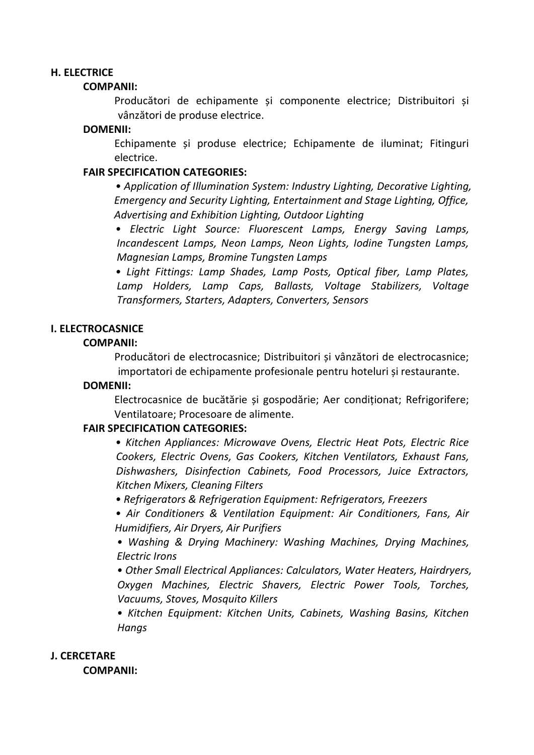#### **H. ELECTRICE**

#### **COMPANII:**

Producători de echipamente și componente electrice; Distribuitori și vânzători de produse electrice.

#### **DOMENII:**

Echipamente și produse electrice; Echipamente de iluminat; Fitinguri electrice.

### **FAIR SPECIFICATION CATEGORIES:**

*• Application of Illumination System: Industry Lighting, Decorative Lighting, Emergency and Security Lighting, Entertainment and Stage Lighting, Office, Advertising and Exhibition Lighting, Outdoor Lighting*

*• Electric Light Source: Fluorescent Lamps, Energy Saving Lamps, Incandescent Lamps, Neon Lamps, Neon Lights, Iodine Tungsten Lamps, Magnesian Lamps, Bromine Tungsten Lamps*

*• Light Fittings: Lamp Shades, Lamp Posts, Optical fiber, Lamp Plates, Lamp Holders, Lamp Caps, Ballasts, Voltage Stabilizers, Voltage Transformers, Starters, Adapters, Converters, Sensors*

#### **I. ELECTROCASNICE**

#### **COMPANII:**

Producători de electrocasnice; Distribuitori și vânzători de electrocasnice; importatori de echipamente profesionale pentru hoteluri și restaurante.

#### **DOMENII:**

Electrocasnice de bucătărie și gospodărie; Aer condiționat; Refrigorifere; Ventilatoare; Procesoare de alimente.

#### **FAIR SPECIFICATION CATEGORIES:**

*• Kitchen Appliances: Microwave Ovens, Electric Heat Pots, Electric Rice Cookers, Electric Ovens, Gas Cookers, Kitchen Ventilators, Exhaust Fans, Dishwashers, Disinfection Cabinets, Food Processors, Juice Extractors, Kitchen Mixers, Cleaning Filters*

*• Refrigerators & Refrigeration Equipment: Refrigerators, Freezers*

*• Air Conditioners & Ventilation Equipment: Air Conditioners, Fans, Air Humidifiers, Air Dryers, Air Purifiers*

*• Washing & Drying Machinery: Washing Machines, Drying Machines, Electric Irons*

*• Other Small Electrical Appliances: Calculators, Water Heaters, Hairdryers, Oxygen Machines, Electric Shavers, Electric Power Tools, Torches, Vacuums, Stoves, Mosquito Killers*

*• Kitchen Equipment: Kitchen Units, Cabinets, Washing Basins, Kitchen Hangs*

## **J. CERCETARE**

**COMPANII:**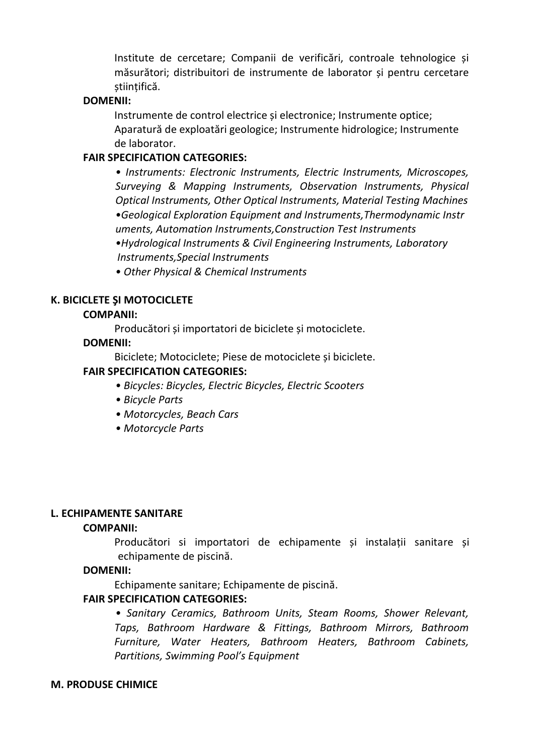Institute de cercetare; Companii de verificări, controale tehnologice și măsurători; distribuitori de instrumente de laborator și pentru cercetare stiințifică.

## **DOMENII:**

Instrumente de control electrice și electronice; Instrumente optice; Aparatură de exploatări geologice; Instrumente hidrologice; Instrumente de laborator.

# **FAIR SPECIFICATION CATEGORIES:**

*• Instruments: Electronic Instruments, Electric Instruments, Microscopes, Surveying & Mapping Instruments, Observation Instruments, Physical Optical Instruments, Other Optical Instruments, Material Testing Machines •Geological Exploration Equipment and Instruments,Thermodynamic Instr uments, Automation Instruments,Construction Test Instruments •Hydrological Instruments & Civil Engineering Instruments, Laboratory Instruments,Special Instruments*

*• Other Physical & Chemical Instruments*

# **K. BICICLETE ŞI MOTOCICLETE**

# **COMPANII:**

Producători și importatori de biciclete și motociclete.

## **DOMENII:**

Biciclete; Motociclete; Piese de motociclete și biciclete.

# **FAIR SPECIFICATION CATEGORIES:**

- *Bicycles: Bicycles, Electric Bicycles, Electric Scooters*
- *Bicycle Parts*
- *Motorcycles, Beach Cars*
- *Motorcycle Parts*

## **L. ECHIPAMENTE SANITARE**

## **COMPANII:**

Producători si importatori de echipamente și instalații sanitare și echipamente de piscină.

## **DOMENII:**

Echipamente sanitare; Echipamente de piscină.

# **FAIR SPECIFICATION CATEGORIES:**

*• Sanitary Ceramics, Bathroom Units, Steam Rooms, Shower Relevant, Taps, Bathroom Hardware & Fittings, Bathroom Mirrors, Bathroom Furniture, Water Heaters, Bathroom Heaters, Bathroom Cabinets, Partitions, Swimming Pool's Equipment*

## **M. PRODUSE CHIMICE**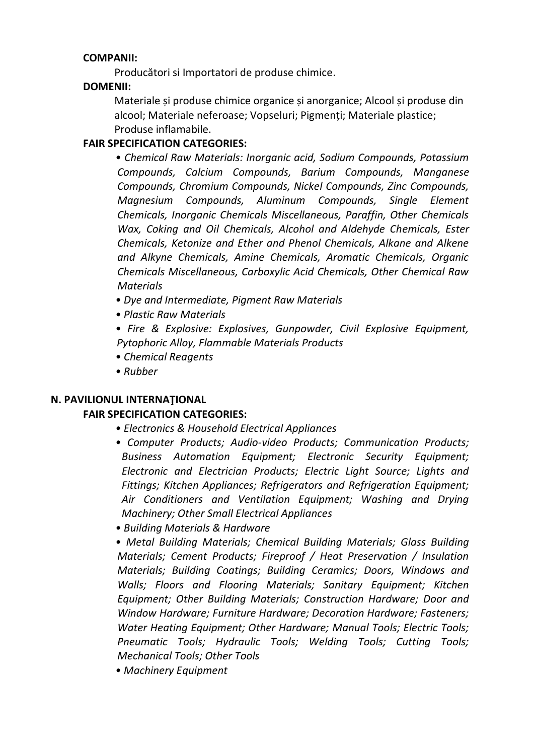# **COMPANII:**

Producători si Importatori de produse chimice.

# **DOMENII:**

Materiale și produse chimice organice și anorganice; Alcool și produse din alcool; Materiale neferoase; Vopseluri; Pigmenți; Materiale plastice; Produse inflamabile.

# **FAIR SPECIFICATION CATEGORIES:**

*• Chemical Raw Materials: Inorganic acid, Sodium Compounds, Potassium Compounds, Calcium Compounds, Barium Compounds, Manganese Compounds, Chromium Compounds, Nickel Compounds, Zinc Compounds, Magnesium Compounds, Aluminum Compounds, Single Element Chemicals, Inorganic Chemicals Miscellaneous, Paraffin, Other Chemicals Wax, Coking and Oil Chemicals, Alcohol and Aldehyde Chemicals, Ester Chemicals, Ketonize and Ether and Phenol Chemicals, Alkane and Alkene and Alkyne Chemicals, Amine Chemicals, Aromatic Chemicals, Organic Chemicals Miscellaneous, Carboxylic Acid Chemicals, Other Chemical Raw Materials*

- *Dye and Intermediate, Pigment Raw Materials*
- *Plastic Raw Materials*
- *Fire & Explosive: Explosives, Gunpowder, Civil Explosive Equipment, Pytophoric Alloy, Flammable Materials Products*
- *Chemical Reagents*
- *Rubber*

# **N. PAVILIONUL INTERNAŢIONAL**

# **FAIR SPECIFICATION CATEGORIES:**

- *Electronics & Household Electrical Appliances*
- *Computer Products; Audio-video Products; Communication Products; Business Automation Equipment; Electronic Security Equipment; Electronic and Electrician Products; Electric Light Source; Lights and Fittings; Kitchen Appliances; Refrigerators and Refrigeration Equipment; Air Conditioners and Ventilation Equipment; Washing and Drying Machinery; Other Small Electrical Appliances*
- *Building Materials & Hardware*

*• Metal Building Materials; Chemical Building Materials; Glass Building Materials; Cement Products; Fireproof / Heat Preservation / Insulation Materials; Building Coatings; Building Ceramics; Doors, Windows and Walls; Floors and Flooring Materials; Sanitary Equipment; Kitchen Equipment; Other Building Materials; Construction Hardware; Door and Window Hardware; Furniture Hardware; Decoration Hardware; Fasteners; Water Heating Equipment; Other Hardware; Manual Tools; Electric Tools; Pneumatic Tools; Hydraulic Tools; Welding Tools; Cutting Tools; Mechanical Tools; Other Tools*

*• Machinery Equipment*